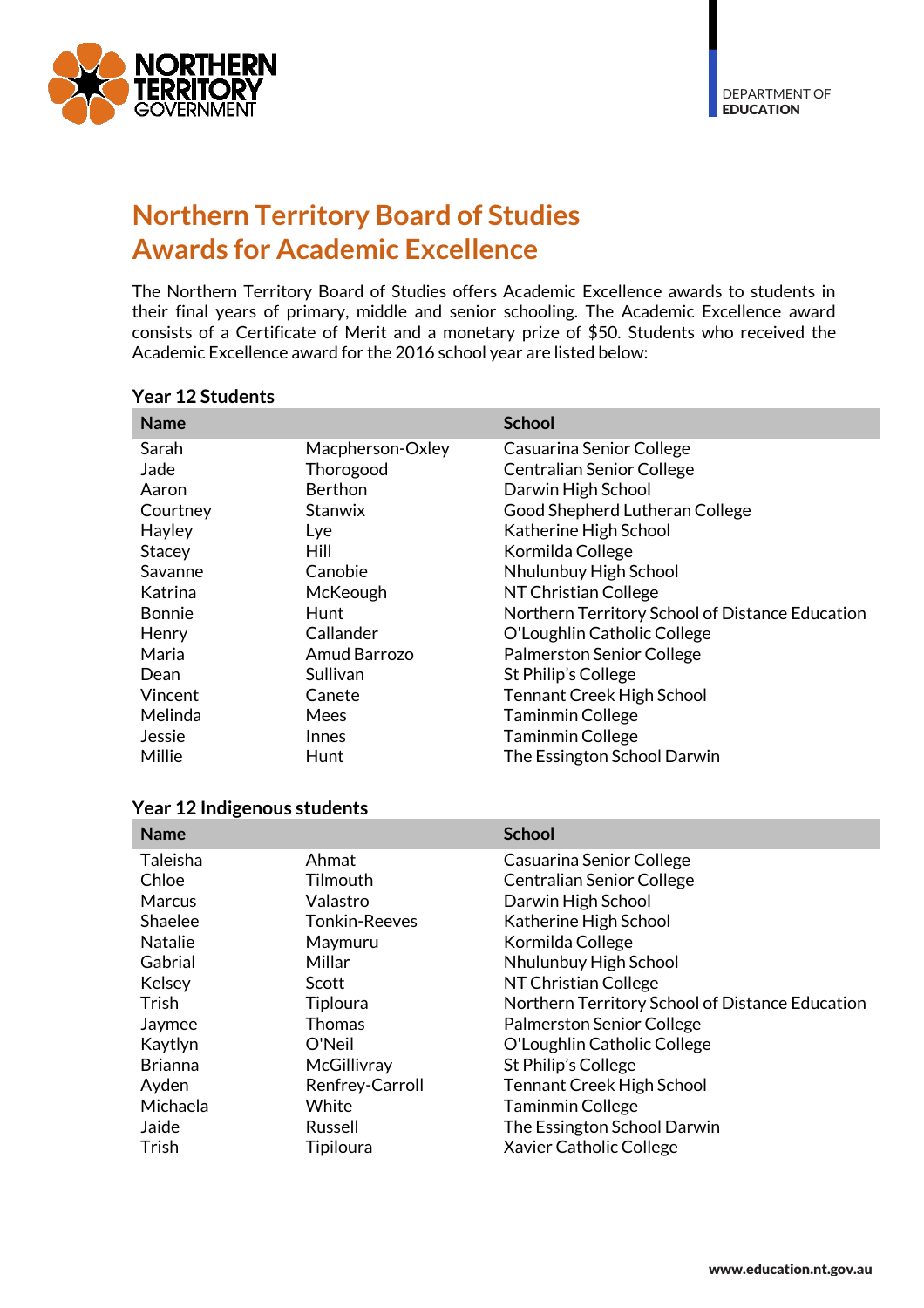

# **Northern Territory Board of Studies Awards for Academic Excellence**

The Northern Territory Board of Studies offers Academic Excellence awards to students in their final years of primary, middle and senior schooling. The Academic Excellence award consists of a Certificate of Merit and a monetary prize of \$50. Students who received the Academic Excellence award for the 2016 school year are listed below:

| <b>Name</b>   |                  | <b>School</b>                                   |
|---------------|------------------|-------------------------------------------------|
| Sarah         | Macpherson-Oxley | Casuarina Senior College                        |
| Jade          | Thorogood        | <b>Centralian Senior College</b>                |
| Aaron         | Berthon          | Darwin High School                              |
| Courtney      | <b>Stanwix</b>   | Good Shepherd Lutheran College                  |
| Hayley        | Lye              | Katherine High School                           |
| Stacey        | Hill             | Kormilda College                                |
| Savanne       | Canobie          | Nhulunbuy High School                           |
| Katrina       | McKeough         | NT Christian College                            |
| <b>Bonnie</b> | Hunt             | Northern Territory School of Distance Education |
| Henry         | Callander        | O'Loughlin Catholic College                     |
| Maria         | Amud Barrozo     | <b>Palmerston Senior College</b>                |
| Dean          | Sullivan         | St Philip's College                             |
| Vincent       | Canete           | <b>Tennant Creek High School</b>                |
| Melinda       | Mees             | <b>Taminmin College</b>                         |
| Jessie        | Innes            | <b>Taminmin College</b>                         |
| Millie        | Hunt             | The Essington School Darwin                     |

#### **Year 12 Students**

| <b>Name</b>    |                      | <b>School</b>                                   |
|----------------|----------------------|-------------------------------------------------|
| Taleisha       | Ahmat                | Casuarina Senior College                        |
| Chloe          | Tilmouth             | <b>Centralian Senior College</b>                |
| <b>Marcus</b>  | Valastro             | Darwin High School                              |
| Shaelee        | <b>Tonkin-Reeves</b> | Katherine High School                           |
| <b>Natalie</b> | Maymuru              | Kormilda College                                |
| Gabrial        | Millar               | Nhulunbuy High School                           |
| Kelsey         | Scott                | NT Christian College                            |
| <b>Trish</b>   | Tiploura             | Northern Territory School of Distance Education |
| Jaymee         | Thomas               | <b>Palmerston Senior College</b>                |
| Kaytlyn        | O'Neil               | O'Loughlin Catholic College                     |
| <b>Brianna</b> | McGillivray          | St Philip's College                             |
| Ayden          | Renfrey-Carroll      | <b>Tennant Creek High School</b>                |
| Michaela       | White                | <b>Taminmin College</b>                         |
| Jaide          | Russell              | The Essington School Darwin                     |
| Trish          | Tipiloura            | Xavier Catholic College                         |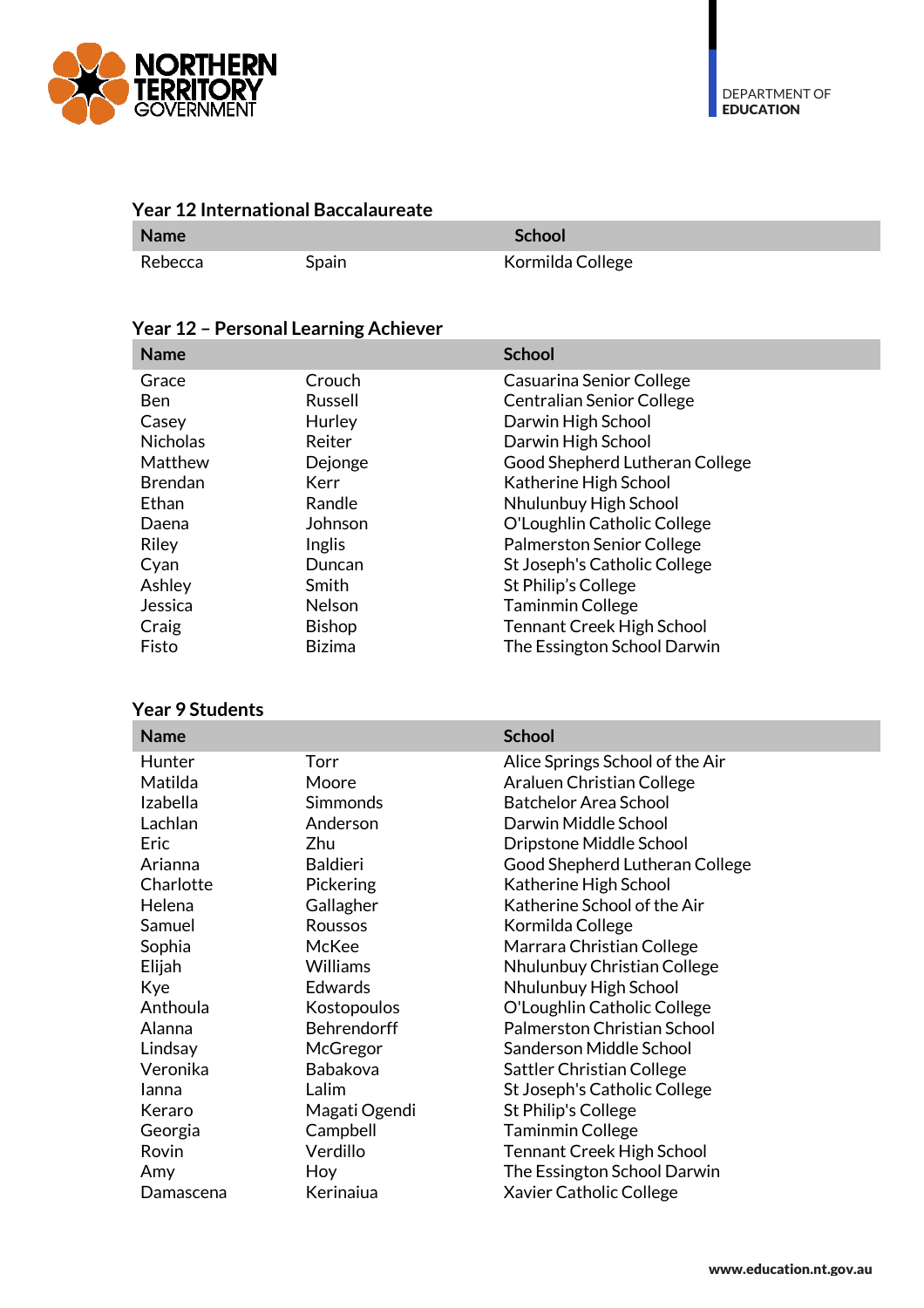

| <b>Year 12 International Baccalaureate</b> |       |                  |  |
|--------------------------------------------|-------|------------------|--|
| <b>Name</b>                                |       | <b>School</b>    |  |
| Rebecca                                    | Spain | Kormilda College |  |

### **Year 12 – Personal Learning Achiever**

| <b>Name</b>     |               | <b>School</b>                    |
|-----------------|---------------|----------------------------------|
| Grace           | Crouch        | Casuarina Senior College         |
| Ben             | Russell       | <b>Centralian Senior College</b> |
| Casey           | Hurley        | Darwin High School               |
| <b>Nicholas</b> | Reiter        | Darwin High School               |
| Matthew         | Dejonge       | Good Shepherd Lutheran College   |
| <b>Brendan</b>  | Kerr          | Katherine High School            |
| Ethan           | Randle        | Nhulunbuy High School            |
| Daena           | Johnson       | O'Loughlin Catholic College      |
| Riley           | Inglis        | <b>Palmerston Senior College</b> |
| Cyan            | Duncan        | St Joseph's Catholic College     |
| Ashley          | Smith         | St Philip's College              |
| Jessica         | Nelson        | <b>Taminmin College</b>          |
| Craig           | <b>Bishop</b> | <b>Tennant Creek High School</b> |
| Fisto           | <b>Bizima</b> | The Essington School Darwin      |

#### **Year 9 Students**

| <b>Name</b> |                 | <b>School</b>                    |
|-------------|-----------------|----------------------------------|
| Hunter      | Torr            | Alice Springs School of the Air  |
| Matilda     | Moore           | Araluen Christian College        |
| Izabella    | Simmonds        | <b>Batchelor Area School</b>     |
| Lachlan     | Anderson        | Darwin Middle School             |
| <b>Eric</b> | Zhu             | Dripstone Middle School          |
| Arianna     | <b>Baldieri</b> | Good Shepherd Lutheran College   |
| Charlotte   | Pickering       | Katherine High School            |
| Helena      | Gallagher       | Katherine School of the Air      |
| Samuel      | Roussos         | Kormilda College                 |
| Sophia      | McKee           | Marrara Christian College        |
| Elijah      | <b>Williams</b> | Nhulunbuy Christian College      |
| Kye         | Edwards         | Nhulunbuy High School            |
| Anthoula    | Kostopoulos     | O'Loughlin Catholic College      |
| Alanna      | Behrendorff     | Palmerston Christian School      |
| Lindsay     | McGregor        | Sanderson Middle School          |
| Veronika    | Babakova        | Sattler Christian College        |
| lanna       | Lalim           | St Joseph's Catholic College     |
| Keraro      | Magati Ogendi   | St Philip's College              |
| Georgia     | Campbell        | <b>Taminmin College</b>          |
| Rovin       | Verdillo        | <b>Tennant Creek High School</b> |
| Amy         | Hoy             | The Essington School Darwin      |
| Damascena   | Kerinaiua       | Xavier Catholic College          |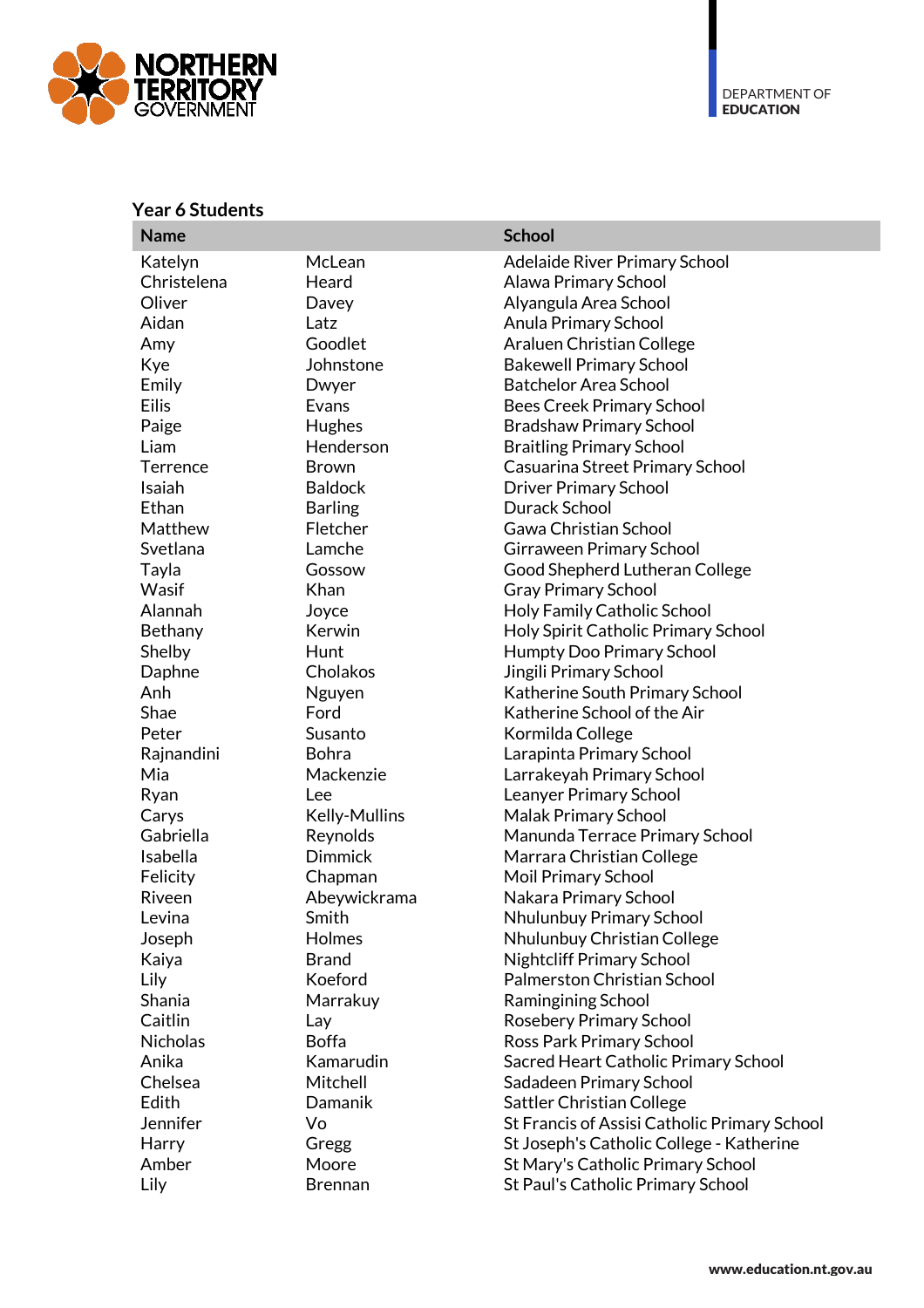

#### **Year 6 Students**

| <b>Name</b>     |                | <b>School</b>                                |
|-----------------|----------------|----------------------------------------------|
| Katelyn         | McLean         | Adelaide River Primary School                |
| Christelena     | Heard          | Alawa Primary School                         |
| Oliver          | Davey          | Alyangula Area School                        |
| Aidan           | Latz           | Anula Primary School                         |
| Amy             | Goodlet        | Araluen Christian College                    |
| Kye             | Johnstone      | <b>Bakewell Primary School</b>               |
| Emily           | Dwyer          | <b>Batchelor Area School</b>                 |
| <b>Eilis</b>    | Evans          | <b>Bees Creek Primary School</b>             |
| Paige           | Hughes         | <b>Bradshaw Primary School</b>               |
| Liam            | Henderson      | <b>Braitling Primary School</b>              |
| Terrence        | <b>Brown</b>   | Casuarina Street Primary School              |
| Isaiah          | <b>Baldock</b> | <b>Driver Primary School</b>                 |
| Ethan           | <b>Barling</b> | Durack School                                |
| Matthew         | Fletcher       | Gawa Christian School                        |
| Svetlana        | Lamche         | Girraween Primary School                     |
| Tayla           | Gossow         | Good Shepherd Lutheran College               |
| Wasif           | Khan           | <b>Gray Primary School</b>                   |
| Alannah         | Joyce          | Holy Family Catholic School                  |
| Bethany         | Kerwin         | Holy Spirit Catholic Primary School          |
| Shelby          | Hunt           | Humpty Doo Primary School                    |
| Daphne          | Cholakos       | Jingili Primary School                       |
| Anh             | Nguyen         | Katherine South Primary School               |
| Shae            | Ford           | Katherine School of the Air                  |
| Peter           | Susanto        | Kormilda College                             |
| Rajnandini      | Bohra          | Larapinta Primary School                     |
| Mia             | Mackenzie      | Larrakeyah Primary School                    |
| Ryan            | Lee            | Leanyer Primary School                       |
| Carys           | Kelly-Mullins  | Malak Primary School                         |
| Gabriella       | Reynolds       | Manunda Terrace Primary School               |
| Isabella        | <b>Dimmick</b> | Marrara Christian College                    |
| Felicity        | Chapman        | Moil Primary School                          |
| Riveen          | Abeywickrama   | Nakara Primary School                        |
| Levina          | Smith          | Nhulunbuy Primary School                     |
| Joseph          | Holmes         | Nhulunbuy Christian College                  |
| Kaiya           | <b>Brand</b>   | <b>Nightcliff Primary School</b>             |
| Lily            | Koeford        | Palmerston Christian School                  |
| Shania          | Marrakuy       | Ramingining School                           |
| Caitlin         | Lay            | Rosebery Primary School                      |
| <b>Nicholas</b> | <b>Boffa</b>   | Ross Park Primary School                     |
| Anika           | Kamarudin      | Sacred Heart Catholic Primary School         |
| Chelsea         | Mitchell       | Sadadeen Primary School                      |
| Edith           | Damanik        | Sattler Christian College                    |
| Jennifer        | Vo             | St Francis of Assisi Catholic Primary School |
| Harry           | Gregg          | St Joseph's Catholic College - Katherine     |
| Amber           | Moore          | St Mary's Catholic Primary School            |
| Lily            | <b>Brennan</b> | St Paul's Catholic Primary School            |